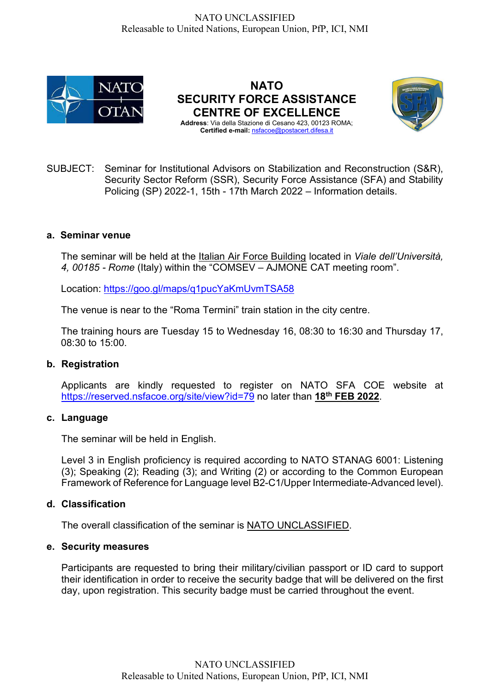

NATO SECURITY FORCE ASSISTANCE CENTRE OF EXCELLENCE Address: Via della Stazione di Cesano 423, 00123 ROMA;

Certified e-mail: nsfacoe@postacert.difesa.it



SUBJECT: Seminar for Institutional Advisors on Stabilization and Reconstruction (S&R), Security Sector Reform (SSR), Security Force Assistance (SFA) and Stability Policing (SP) 2022-1, 15th - 17th March 2022 – Information details.

## a. Seminar venue

The seminar will be held at the Italian Air Force Building located in Viale dell'Università, 4, 00185 - Rome (Italy) within the "COMSEV – AJMONE CAT meeting room".

Location: https://goo.gl/maps/q1pucYaKmUvmTSA58

The venue is near to the "Roma Termini" train station in the city centre.

The training hours are Tuesday 15 to Wednesday 16, 08:30 to 16:30 and Thursday 17, 08:30 to 15:00.

## b. Registration

Applicants are kindly requested to register on NATO SFA COE website at https://reserved.nsfacoe.org/site/view?id=79 no later than 18<sup>th</sup> FEB 2022.

## c. Language

The seminar will be held in English.

Level 3 in English proficiency is required according to NATO STANAG 6001: Listening (3); Speaking (2); Reading (3); and Writing (2) or according to the Common European Framework of Reference for Language level B2-C1/Upper Intermediate-Advanced level).

## d. Classification

The overall classification of the seminar is NATO UNCLASSIFIED.

## e. Security measures

Participants are requested to bring their military/civilian passport or ID card to support their identification in order to receive the security badge that will be delivered on the first day, upon registration. This security badge must be carried throughout the event.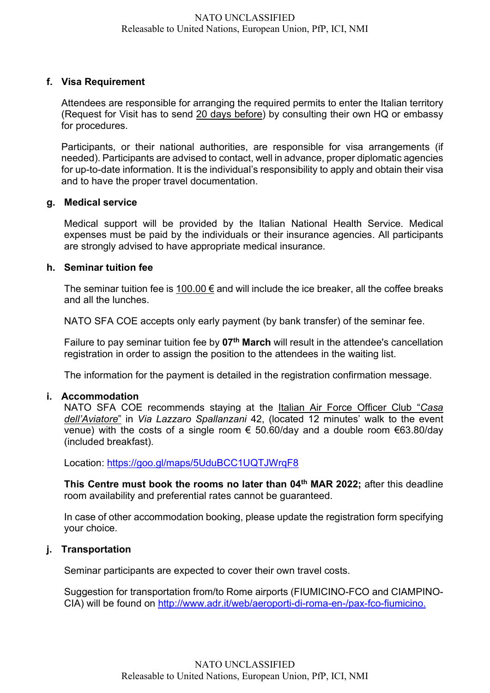# f. Visa Requirement

Attendees are responsible for arranging the required permits to enter the Italian territory (Request for Visit has to send 20 days before) by consulting their own HQ or embassy for procedures.

Participants, or their national authorities, are responsible for visa arrangements (if needed). Participants are advised to contact, well in advance, proper diplomatic agencies for up-to-date information. It is the individual's responsibility to apply and obtain their visa and to have the proper travel documentation.

## g. Medical service

Medical support will be provided by the Italian National Health Service. Medical expenses must be paid by the individuals or their insurance agencies. All participants are strongly advised to have appropriate medical insurance.

## h. Seminar tuition fee

The seminar tuition fee is 100.00  $\epsilon$  and will include the ice breaker, all the coffee breaks and all the lunches.

NATO SFA COE accepts only early payment (by bank transfer) of the seminar fee.

Failure to pay seminar tuition fee by  $07<sup>th</sup>$  March will result in the attendee's cancellation registration in order to assign the position to the attendees in the waiting list.

The information for the payment is detailed in the registration confirmation message.

## i. Accommodation

NATO SFA COE recommends staying at the Italian Air Force Officer Club "Casa dell'Aviatore" in Via Lazzaro Spallanzani 42, (located 12 minutes' walk to the event venue) with the costs of a single room  $\epsilon$  50.60/day and a double room  $\epsilon$ 63.80/day (included breakfast).

Location: https://goo.gl/maps/5UduBCC1UQTJWrqF8

This Centre must book the rooms no later than 04<sup>th</sup> MAR 2022; after this deadline room availability and preferential rates cannot be guaranteed.

In case of other accommodation booking, please update the registration form specifying your choice.

# j. Transportation

Seminar participants are expected to cover their own travel costs.

Suggestion for transportation from/to Rome airports (FIUMICINO-FCO and CIAMPINO-CIA) will be found on http://www.adr.it/web/aeroporti-di-roma-en-/pax-fco-fiumicino.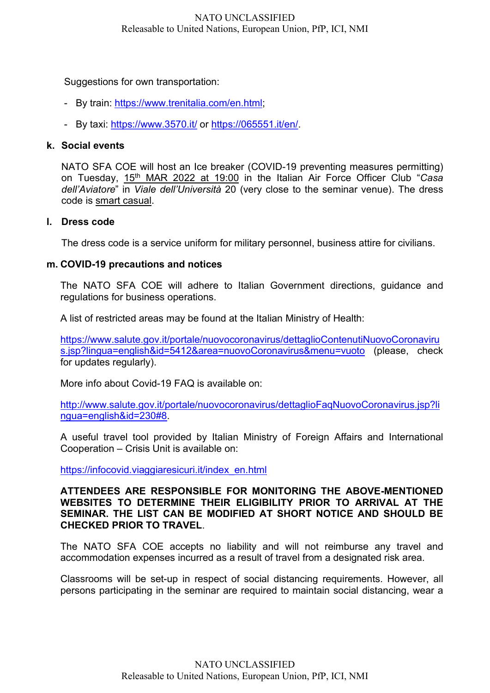## NATO UNCLASSIFIED Releasable to United Nations, European Union, PfP, ICI, NMI

### Suggestions for own transportation:

- By train: https://www.trenitalia.com/en.html;
- By taxi: https://www.3570.it/ or https://065551.it/en/.

### k. Social events

NATO SFA COE will host an Ice breaker (COVID-19 preventing measures permitting) on Tuesday, 15<sup>th</sup> MAR 2022 at 19:00 in the Italian Air Force Officer Club "Casa dell'Aviatore" in Viale dell'Università 20 (very close to the seminar venue). The dress code is smart casual.

#### l. Dress code

The dress code is a service uniform for military personnel, business attire for civilians.

### m. COVID-19 precautions and notices

The NATO SFA COE will adhere to Italian Government directions, guidance and regulations for business operations.

A list of restricted areas may be found at the Italian Ministry of Health:

https://www.salute.gov.it/portale/nuovocoronavirus/dettaglioContenutiNuovoCoronaviru s.jsp?lingua=english&id=5412&area=nuovoCoronavirus&menu=vuoto (please, check for updates regularly).

More info about Covid-19 FAQ is available on:

http://www.salute.gov.it/portale/nuovocoronavirus/dettaglioFaqNuovoCoronavirus.jsp?li ngua=english&id=230#8.

A useful travel tool provided by Italian Ministry of Foreign Affairs and International Cooperation – Crisis Unit is available on:

https://infocovid.viaggiaresicuri.it/index\_en.html

### ATTENDEES ARE RESPONSIBLE FOR MONITORING THE ABOVE-MENTIONED WEBSITES TO DETERMINE THEIR ELIGIBILITY PRIOR TO ARRIVAL AT THE SEMINAR. THE LIST CAN BE MODIFIED AT SHORT NOTICE AND SHOULD BE CHECKED PRIOR TO TRAVEL.

The NATO SFA COE accepts no liability and will not reimburse any travel and accommodation expenses incurred as a result of travel from a designated risk area.

Classrooms will be set-up in respect of social distancing requirements. However, all persons participating in the seminar are required to maintain social distancing, wear a